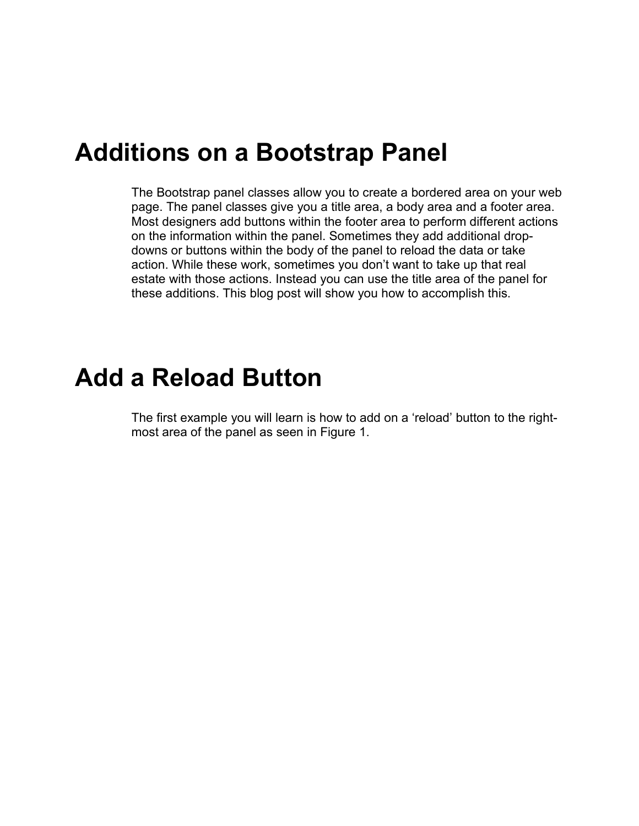## **Additions on a Bootstrap Panel**

The Bootstrap panel classes allow you to create a bordered area on your web page. The panel classes give you a title area, a body area and a footer area. Most designers add buttons within the footer area to perform different actions on the information within the panel. Sometimes they add additional dropdowns or buttons within the body of the panel to reload the data or take action. While these work, sometimes you don't want to take up that real estate with those actions. Instead you can use the title area of the panel for these additions. This blog post will show you how to accomplish this.

## **Add a Reload Button**

The first example you will learn is how to add on a 'reload' button to the rightmost area of the panel as seen in Figure 1.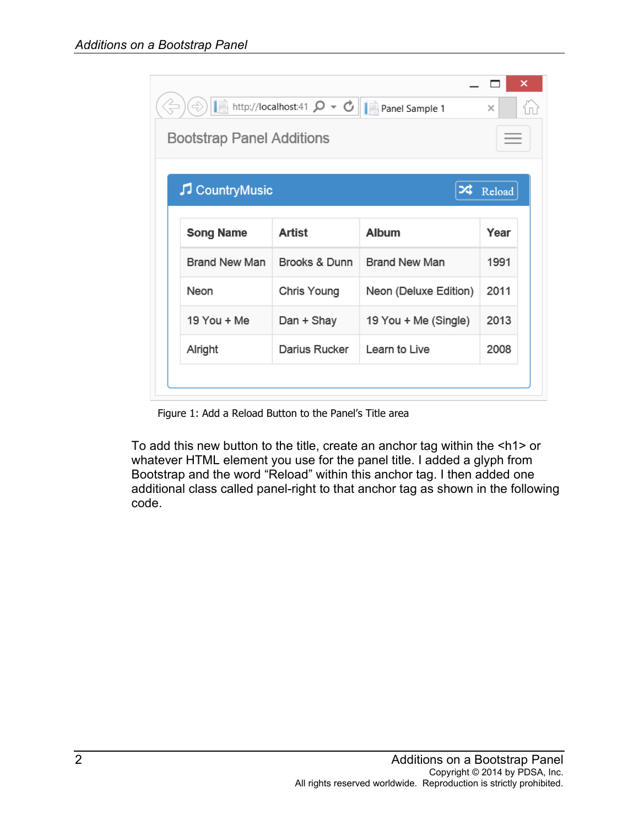| $\Rightarrow$                    | http://localhost:41 $\mathcal{Q}$ v $\mathcal{C}$ | Panel Sample 1        | ×<br>$\times$ |  |
|----------------------------------|---------------------------------------------------|-----------------------|---------------|--|
| <b>Bootstrap Panel Additions</b> |                                                   |                       |               |  |
| CountryMusic                     |                                                   | κ                     | Reload        |  |
| <b>Song Name</b>                 | <b>Artist</b>                                     | <b>Album</b>          | Year          |  |
|                                  |                                                   |                       |               |  |
| <b>Brand New Man</b>             | Brooks & Dunn                                     | <b>Brand New Man</b>  | 1991          |  |
| Neon                             | Chris Young                                       | Neon (Deluxe Edition) | 2011          |  |
| 19 You + Me                      | Dan + Shay                                        | 19 You + Me (Single)  | 2013          |  |

Figure 1: Add a Reload Button to the Panel's Title area

To add this new button to the title, create an anchor tag within the <h1> or whatever HTML element you use for the panel title. I added a glyph from Bootstrap and the word "Reload" within this anchor tag. I then added one additional class called panel-right to that anchor tag as shown in the following code.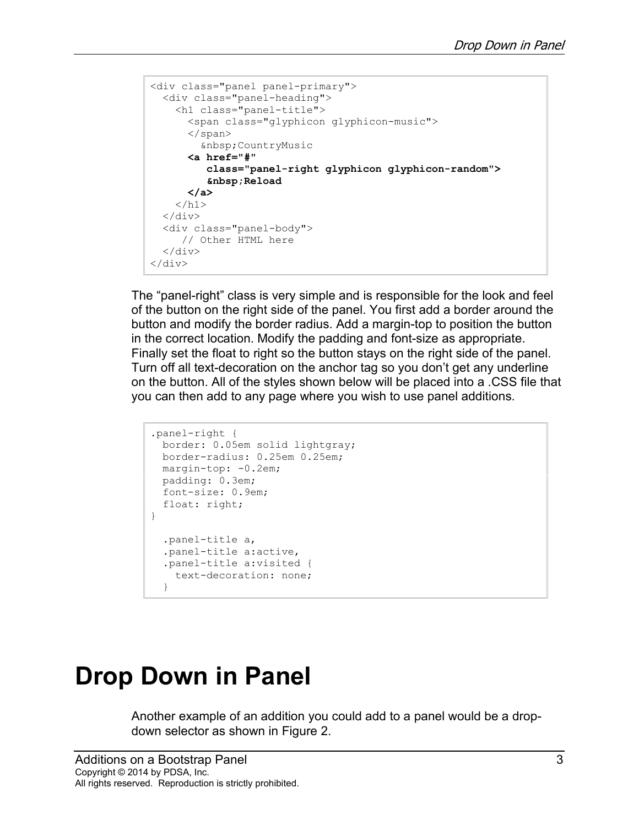```
<div class="panel panel-primary">
  <div class="panel-heading">
     <h1 class="panel-title">
       <span class="glyphicon glyphicon-music">
       </span>
          CountryMusic
       <a href="#" 
          class="panel-right glyphicon glyphicon-random">
            Reload
       </a>
    \langle/h1>
  \langlediv\rangle <div class="panel-body">
     // Other HTML here
  \langle/div>
\langle div>
```
The "panel-right" class is very simple and is responsible for the look and feel of the button on the right side of the panel. You first add a border around the button and modify the border radius. Add a margin-top to position the button in the correct location. Modify the padding and font-size as appropriate. Finally set the float to right so the button stays on the right side of the panel. Turn off all text-decoration on the anchor tag so you don't get any underline on the button. All of the styles shown below will be placed into a .CSS file that you can then add to any page where you wish to use panel additions.

```
.panel-right {
 border: 0.05em solid lightgray;
 border-radius: 0.25em 0.25em;
 margin-top: -0.2em;
 padding: 0.3em;
 font-size: 0.9em;
 float: right;
}
  .panel-title a,
   .panel-title a:active,
   .panel-title a:visited {
    text-decoration: none;
   }
```
## **Drop Down in Panel**

Another example of an addition you could add to a panel would be a dropdown selector as shown in Figure 2.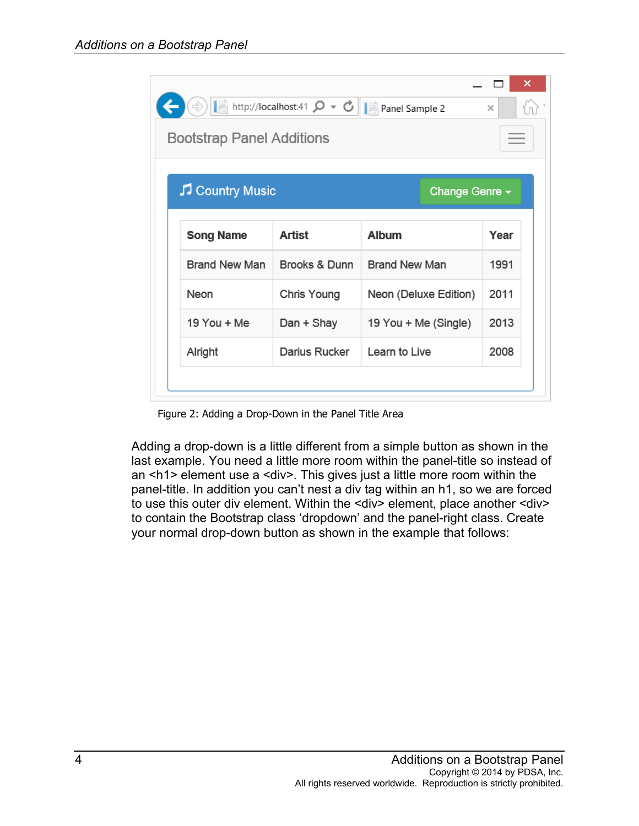| http://localhost:41 $\mathcal{Q} \times \mathcal{C}$     Panel Sample 2<br><b>Bootstrap Panel Additions</b> |               |                       |      |  |
|-------------------------------------------------------------------------------------------------------------|---------------|-----------------------|------|--|
| Country Music<br>Change Genre -                                                                             |               |                       |      |  |
| <b>Song Name</b>                                                                                            | Artist        | <b>Album</b>          | Year |  |
| <b>Brand New Man</b>                                                                                        | Brooks & Dunn | <b>Brand New Man</b>  | 1991 |  |
| Neon                                                                                                        | Chris Young   | Neon (Deluxe Edition) | 2011 |  |
| 19 You + Me                                                                                                 | Dan + Shay    | 19 You + Me (Single)  | 2013 |  |
|                                                                                                             | Darius Rucker | Learn to Live         | 2008 |  |

Figure 2: Adding a Drop-Down in the Panel Title Area

Adding a drop-down is a little different from a simple button as shown in the last example. You need a little more room within the panel-title so instead of an <h1> element use a <div>. This gives just a little more room within the panel-title. In addition you can't nest a div tag within an h1, so we are forced to use this outer div element. Within the <div> element, place another <div> to contain the Bootstrap class 'dropdown' and the panel-right class. Create your normal drop-down button as shown in the example that follows: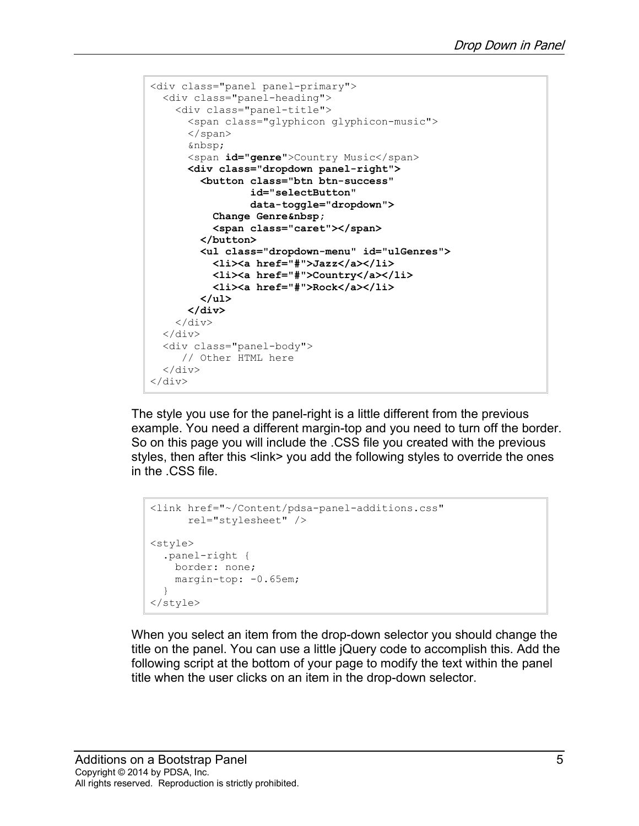```
<div class="panel panel-primary">
  <div class="panel-heading">
     <div class="panel-title">
       <span class="glyphicon glyphicon-music">
       </span>
       
      <span id="genre">Country Music</span>
       <div class="dropdown panel-right">
         <button class="btn btn-success"
                  id="selectButton" 
                  data-toggle="dropdown">
          Change Genre 
           <span class="caret"></span>
         </button>
         <ul class="dropdown-menu" id="ulGenres">
           <li><a href="#">Jazz</a></li>
           <li><a href="#">Country</a></li>
           <li><a href="#">Rock</a></li>
         </ul>
       </div>
    \langle div>
  \langle div>
   <div class="panel-body">
      // Other HTML here
   </div>
\langle/div\rangle
```
The style you use for the panel-right is a little different from the previous example. You need a different margin-top and you need to turn off the border. So on this page you will include the .CSS file you created with the previous styles, then after this <link> you add the following styles to override the ones in the .CSS file.

```
<link href="~/Content/pdsa-panel-additions.css"
       rel="stylesheet" />
<style>
   .panel-right {
    border: none;
   margin-top: -0.65em;
   }
</style>
```
When you select an item from the drop-down selector you should change the title on the panel. You can use a little jQuery code to accomplish this. Add the following script at the bottom of your page to modify the text within the panel title when the user clicks on an item in the drop-down selector.